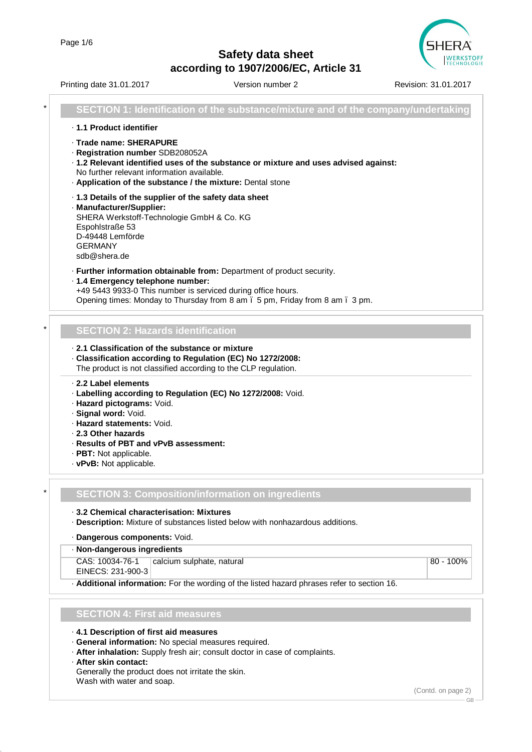

|   | Printing date 31.01.2017                                                                                                                                                                                                                                       | Version number 2                                                                                                                                       | Revision: 31.01.2017 |
|---|----------------------------------------------------------------------------------------------------------------------------------------------------------------------------------------------------------------------------------------------------------------|--------------------------------------------------------------------------------------------------------------------------------------------------------|----------------------|
| * |                                                                                                                                                                                                                                                                | SECTION 1: Identification of the substance/mixture and of the company/undertaking                                                                      |                      |
|   | · 1.1 Product identifier                                                                                                                                                                                                                                       |                                                                                                                                                        |                      |
|   | · Trade name: SHERAPURE<br>· Registration number SDB208052A<br>No further relevant information available.<br>· Application of the substance / the mixture: Dental stone                                                                                        | · 1.2 Relevant identified uses of the substance or mixture and uses advised against:                                                                   |                      |
|   | .1.3 Details of the supplier of the safety data sheet<br>· Manufacturer/Supplier:<br>SHERA Werkstoff-Technologie GmbH & Co. KG<br>Espohlstraße 53<br>D-49448 Lemförde<br><b>GERMANY</b><br>sdb@shera.de                                                        |                                                                                                                                                        |                      |
|   | · 1.4 Emergency telephone number:<br>+49 5443 9933-0 This number is serviced during office hours.                                                                                                                                                              | · Further information obtainable from: Department of product security.<br>Opening times: Monday to Thursday from 8 am . 5 pm, Friday from 8 am . 3 pm. |                      |
|   |                                                                                                                                                                                                                                                                |                                                                                                                                                        |                      |
|   | <b>SECTION 2: Hazards identification</b>                                                                                                                                                                                                                       |                                                                                                                                                        |                      |
|   | 2.1 Classification of the substance or mixture<br>· Classification according to Regulation (EC) No 1272/2008:<br>The product is not classified according to the CLP regulation.                                                                                |                                                                                                                                                        |                      |
|   | 2.2 Label elements<br>· Labelling according to Regulation (EC) No 1272/2008: Void.<br>· Hazard pictograms: Void.<br>· Signal word: Void.<br>· Hazard statements: Void.<br>2.3 Other hazards<br>· Results of PBT and vPvB assessment:<br>· PBT: Not applicable. |                                                                                                                                                        |                      |
|   | · vPvB: Not applicable.                                                                                                                                                                                                                                        |                                                                                                                                                        |                      |
|   |                                                                                                                                                                                                                                                                | <b>SECTION 3: Composition/information on ingredients</b>                                                                                               |                      |
|   | 3.2 Chemical characterisation: Mixtures                                                                                                                                                                                                                        | · Description: Mixture of substances listed below with nonhazardous additions.                                                                         |                      |
|   | · Dangerous components: Void.<br>· Non-dangerous ingredients                                                                                                                                                                                                   |                                                                                                                                                        |                      |
|   | CAS: 10034-76-1<br>EINECS: 231-900-3                                                                                                                                                                                                                           | calcium sulphate, natural                                                                                                                              | 80 - 100%            |
|   |                                                                                                                                                                                                                                                                | . Additional information: For the wording of the listed hazard phrases refer to section 16.                                                            |                      |
|   | <b>SECTION 4: First aid measures</b>                                                                                                                                                                                                                           |                                                                                                                                                        |                      |
|   |                                                                                                                                                                                                                                                                |                                                                                                                                                        |                      |
|   | . 4.1 Description of first aid measures<br>· General information: No special measures required.<br>· After skin contact:                                                                                                                                       | · After inhalation: Supply fresh air; consult doctor in case of complaints.                                                                            |                      |
|   | Generally the product does not irritate the skin.<br>Wash with water and soap.                                                                                                                                                                                 |                                                                                                                                                        |                      |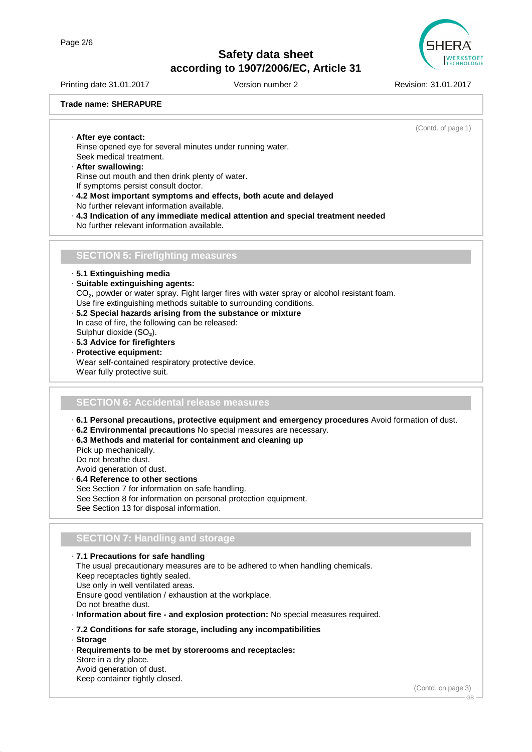

Printing date 31.01.2017 Version number 2 Revision: 31.01.2017

**Trade name: SHERAPURE**

(Contd. of page 1)

· **After eye contact:** Rinse opened eye for several minutes under running water. Seek medical treatment.

#### · **After swallowing:** Rinse out mouth and then drink plenty of water. If symptoms persist consult doctor.

- · **4.2 Most important symptoms and effects, both acute and delayed** No further relevant information available.
- · **4.3 Indication of any immediate medical attention and special treatment needed** No further relevant information available.

## **SECTION 5: Firefighting measures**

- · **5.1 Extinguishing media**
- · **Suitable extinguishing agents:** CO₂, powder or water spray. Fight larger fires with water spray or alcohol resistant foam. Use fire extinguishing methods suitable to surrounding conditions.
- · **5.2 Special hazards arising from the substance or mixture** In case of fire, the following can be released: Sulphur dioxide (SO₂).
- · **5.3 Advice for firefighters**
- · **Protective equipment:**

Wear self-contained respiratory protective device. Wear fully protective suit.

### **SECTION 6: Accidental release measures**

- · **6.1 Personal precautions, protective equipment and emergency procedures** Avoid formation of dust.
- · **6.2 Environmental precautions** No special measures are necessary.
- · **6.3 Methods and material for containment and cleaning up** Pick up mechanically. Do not breathe dust.

Avoid generation of dust.

· **6.4 Reference to other sections** See Section 7 for information on safe handling. See Section 8 for information on personal protection equipment. See Section 13 for disposal information.

### **SECTION 7: Handling and storage**

· **7.1 Precautions for safe handling**

The usual precautionary measures are to be adhered to when handling chemicals. Keep receptacles tightly sealed. Use only in well ventilated areas. Ensure good ventilation / exhaustion at the workplace. Do not breathe dust. · **Information about fire - and explosion protection:** No special measures required. · **7.2 Conditions for safe storage, including any incompatibilities**

- · **Storage**
- · **Requirements to be met by storerooms and receptacles:** Store in a dry place. Avoid generation of dust. Keep container tightly closed.

(Contd. on page 3)

GB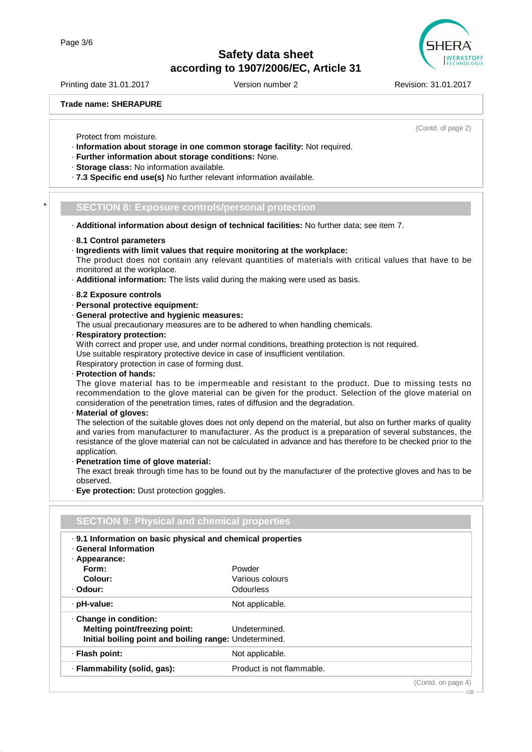Printing date 31.01.2017 Version number 2 Revision: 31.01.2017

**Trade name: SHERAPURE**

(Contd. of page 2)

- Protect from moisture. · **Information about storage in one common storage facility:** Not required.
- · **Further information about storage conditions:** None.
- · **Storage class:** No information available.
- · **7.3 Specific end use(s)** No further relevant information available.

#### \* **SECTION 8: Exposure controls/personal protection**

- · **Additional information about design of technical facilities:** No further data; see item 7.
- · **8.1 Control parameters**
- · **Ingredients with limit values that require monitoring at the workplace:**
- The product does not contain any relevant quantities of materials with critical values that have to be monitored at the workplace.
- · **Additional information:** The lists valid during the making were used as basis.
- · **8.2 Exposure controls**
- · **Personal protective equipment:**
- · **General protective and hygienic measures:**
- The usual precautionary measures are to be adhered to when handling chemicals.
- · **Respiratory protection:**

With correct and proper use, and under normal conditions, breathing protection is not required. Use suitable respiratory protective device in case of insufficient ventilation. Respiratory protection in case of forming dust.

· **Protection of hands:**

The glove material has to be impermeable and resistant to the product. Due to missing tests no recommendation to the glove material can be given for the product. Selection of the glove material on consideration of the penetration times, rates of diffusion and the degradation.

· **Material of gloves:**

The selection of the suitable gloves does not only depend on the material, but also on further marks of quality and varies from manufacturer to manufacturer. As the product is a preparation of several substances, the resistance of the glove material can not be calculated in advance and has therefore to be checked prior to the application.

· **Penetration time of glove material:**

The exact break through time has to be found out by the manufacturer of the protective gloves and has to be observed.

· **Eye protection:** Dust protection goggles.

| . 9.1 Information on basic physical and chemical properties<br><b>General Information</b> |                           |  |  |  |
|-------------------------------------------------------------------------------------------|---------------------------|--|--|--|
| · Appearance:                                                                             |                           |  |  |  |
| Form:                                                                                     | Powder                    |  |  |  |
| Colour:                                                                                   | Various colours           |  |  |  |
| · Odour:                                                                                  | Odourless                 |  |  |  |
| $\cdot$ pH-value:                                                                         | Not applicable.           |  |  |  |
| Change in condition:                                                                      |                           |  |  |  |
| Melting point/freezing point:                                                             | Undetermined.             |  |  |  |
| Initial boiling point and boiling range: Undetermined.                                    |                           |  |  |  |
| · Flash point:                                                                            | Not applicable.           |  |  |  |
| · Flammability (solid, gas):                                                              | Product is not flammable. |  |  |  |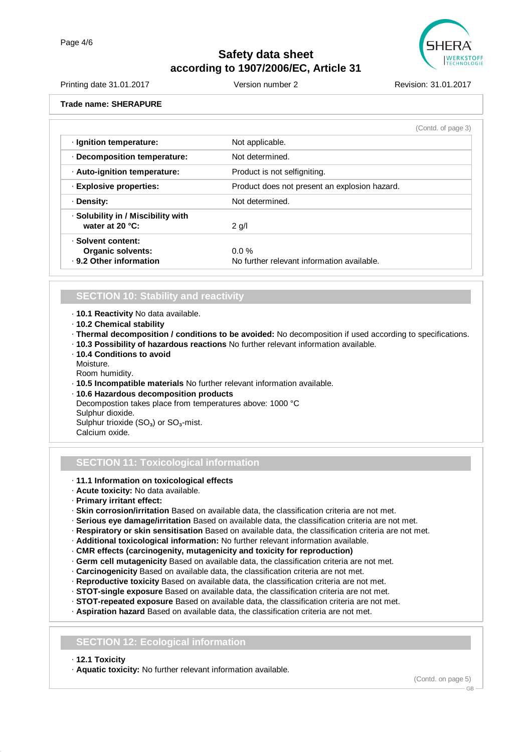

| <b>Printing date 31.01.2017</b> | Version number 2 | Revision: 31.01.2017 |
|---------------------------------|------------------|----------------------|
| <b>Trade name: SHERAPURE</b>    |                  |                      |
|                                 |                  | (Contd. of page 3)   |
| · Ignition temperature:         | Not applicable.  |                      |
| Decomposition temperature:      | Not determined.  |                      |

| · Auto-ignition temperature:                                              | Product is not selfigniting.                           |
|---------------------------------------------------------------------------|--------------------------------------------------------|
| · Explosive properties:                                                   | Product does not present an explosion hazard.          |
| · Density:                                                                | Not determined.                                        |
| · Solubility in / Miscibility with<br>water at $20 °C$ :                  | $2$ g/l                                                |
| · Solvent content:<br><b>Organic solvents:</b><br>. 9.2 Other information | $0.0 \%$<br>No further relevant information available. |

## **SECTION 10: Stability and reactivity**

· **10.1 Reactivity** No data available.

- · **10.2 Chemical stability**
- · **Thermal decomposition / conditions to be avoided:** No decomposition if used according to specifications.
- · **10.3 Possibility of hazardous reactions** No further relevant information available.
- · **10.4 Conditions to avoid**

Moisture.

Room humidity.

· **10.5 Incompatible materials** No further relevant information available.

· **10.6 Hazardous decomposition products** Decompostion takes place from temperatures above: 1000 °C Sulphur dioxide. Sulphur trioxide  $(SO<sub>3</sub>)$  or  $SO<sub>3</sub>$ -mist.

Calcium oxide.

## **SECTION 11: Toxicological information**

### · **11.1 Information on toxicological effects**

- · **Acute toxicity:** No data available.
- · **Primary irritant effect:**
- · **Skin corrosion/irritation** Based on available data, the classification criteria are not met.
- · **Serious eye damage/irritation** Based on available data, the classification criteria are not met.
- · **Respiratory or skin sensitisation** Based on available data, the classification criteria are not met.
- · **Additional toxicological information:** No further relevant information available.
- · **CMR effects (carcinogenity, mutagenicity and toxicity for reproduction)**
- · **Germ cell mutagenicity** Based on available data, the classification criteria are not met.
- · **Carcinogenicity** Based on available data, the classification criteria are not met.
- · **Reproductive toxicity** Based on available data, the classification criteria are not met.
- · **STOT-single exposure** Based on available data, the classification criteria are not met.
- · **STOT-repeated exposure** Based on available data, the classification criteria are not met.
- · **Aspiration hazard** Based on available data, the classification criteria are not met.

### **SECTION 12: Ecological information**

#### · **12.1 Toxicity**

· **Aquatic toxicity:** No further relevant information available.

(Contd. on page 5)

GB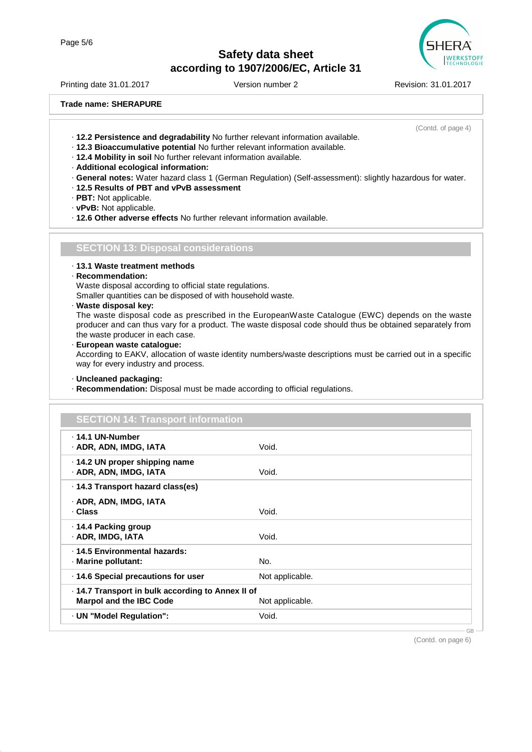

Printing date 31.01.2017 Version number 2 Revision: 31.01.2017

**Trade name: SHERAPURE**

(Contd. of page 4)

- · **12.2 Persistence and degradability** No further relevant information available.
- · **12.3 Bioaccumulative potential** No further relevant information available.
- · **12.4 Mobility in soil** No further relevant information available.
- · **Additional ecological information:**
- · **General notes:** Water hazard class 1 (German Regulation) (Self-assessment): slightly hazardous for water.
- · **12.5 Results of PBT and vPvB assessment**
- · **PBT:** Not applicable.
- · **vPvB:** Not applicable.
- · **12.6 Other adverse effects** No further relevant information available.

### **SECTION 13: Disposal considerations**

- · **13.1 Waste treatment methods**
- · **Recommendation:**

Waste disposal according to official state regulations.

Smaller quantities can be disposed of with household waste.

· **Waste disposal key:**

The waste disposal code as prescribed in the EuropeanWaste Catalogue (EWC) depends on the waste producer and can thus vary for a product. The waste disposal code should thus be obtained separately from the waste producer in each case.

· **European waste catalogue:**

According to EAKV, allocation of waste identity numbers/waste descriptions must be carried out in a specific way for every industry and process.

- · **Uncleaned packaging:**
- · **Recommendation:** Disposal must be made according to official regulations.

| <b>SECTION 14: Transport information</b>                                            |                 |    |
|-------------------------------------------------------------------------------------|-----------------|----|
| . 14.1 UN-Number<br>· ADR, ADN, IMDG, IATA                                          | Void.           |    |
| ⋅ 14.2 UN proper shipping name<br>· ADR, ADN, IMDG, IATA                            | Void.           |    |
| ⋅ 14.3 Transport hazard class(es)                                                   |                 |    |
| · ADR, ADN, IMDG, IATA<br>· Class                                                   | Void.           |    |
| ⋅ 14.4 Packing group<br>· ADR, IMDG, IATA                                           | Void.           |    |
| . 14.5 Environmental hazards:<br>· Marine pollutant:                                | No.             |    |
| ⋅ 14.6 Special precautions for user                                                 | Not applicable. |    |
| · 14.7 Transport in bulk according to Annex II of<br><b>Marpol and the IBC Code</b> | Not applicable. |    |
| · UN "Model Regulation":                                                            | Void.           |    |
|                                                                                     |                 | GB |

(Contd. on page 6)